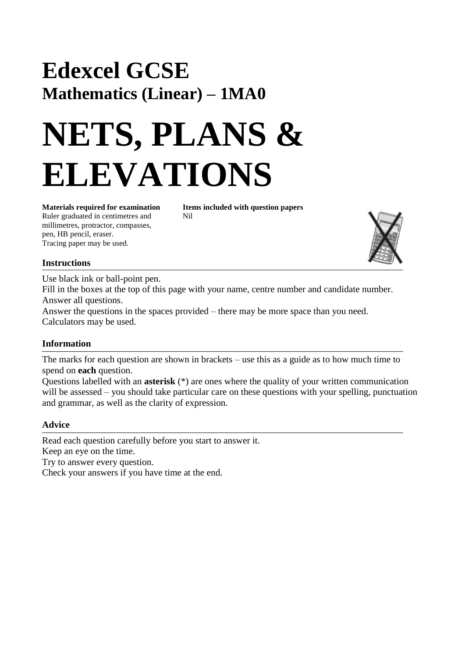## **Edexcel GCSE Mathematics (Linear) – 1MA0**

# **NETS, PLANS & ELEVATIONS**

Ruler graduated in centimetres and Nil millimetres, protractor, compasses, pen, HB pencil, eraser. Tracing paper may be used.

**Materials required for examination Items included with question papers**



### **Instructions**

Use black ink or ball-point pen.

Fill in the boxes at the top of this page with your name, centre number and candidate number. Answer all questions.

Answer the questions in the spaces provided – there may be more space than you need. Calculators may be used.

### **Information**

The marks for each question are shown in brackets – use this as a guide as to how much time to spend on **each** question.

Questions labelled with an **asterisk** (\*) are ones where the quality of your written communication will be assessed – you should take particular care on these questions with your spelling, punctuation and grammar, as well as the clarity of expression.

#### **Advice**

Read each question carefully before you start to answer it. Keep an eye on the time. Try to answer every question. Check your answers if you have time at the end.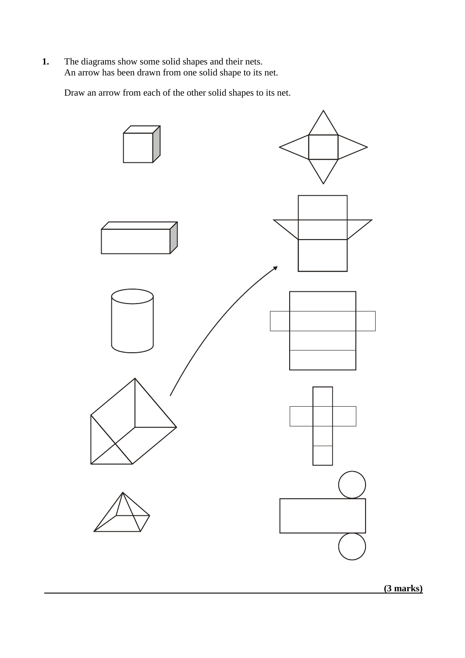**1.** The diagrams show some solid shapes and their nets. An arrow has been drawn from one solid shape to its net.

Draw an arrow from each of the other solid shapes to its net.



 **(3 marks)**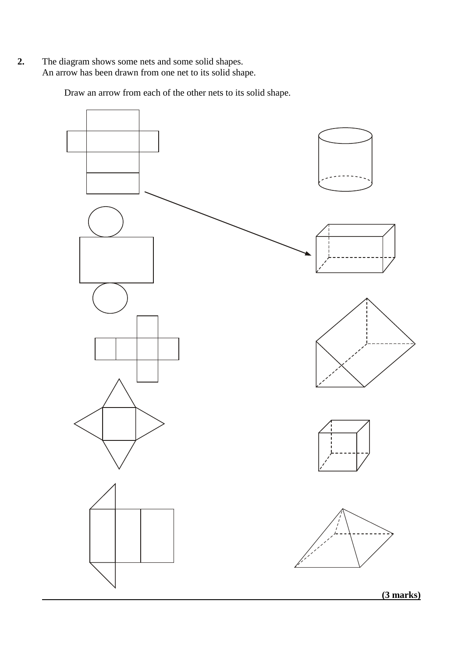**2.** The diagram shows some nets and some solid shapes. An arrow has been drawn from one net to its solid shape.

Draw an arrow from each of the other nets to its solid shape.

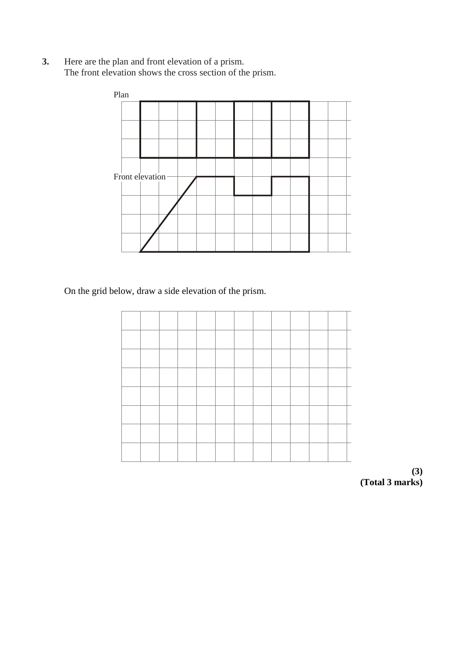**3.** Here are the plan and front elevation of a prism. The front elevation shows the cross section of the prism.



On the grid below, draw a side elevation of the prism.

**(3) (Total 3 marks)**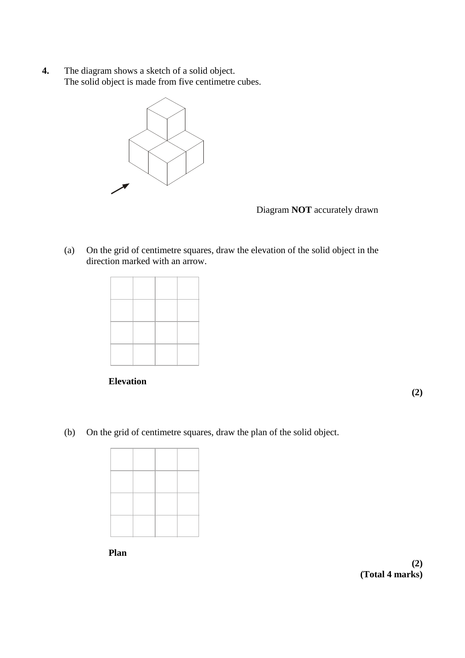**4.** The diagram shows a sketch of a solid object. The solid object is made from five centimetre cubes.



Diagram **NOT** accurately drawn

(a) On the grid of centimetre squares, draw the elevation of the solid object in the direction marked with an arrow.



**Elevation**

**(2)**

(b) On the grid of centimetre squares, draw the plan of the solid object.

**Plan**

**(2) (Total 4 marks)**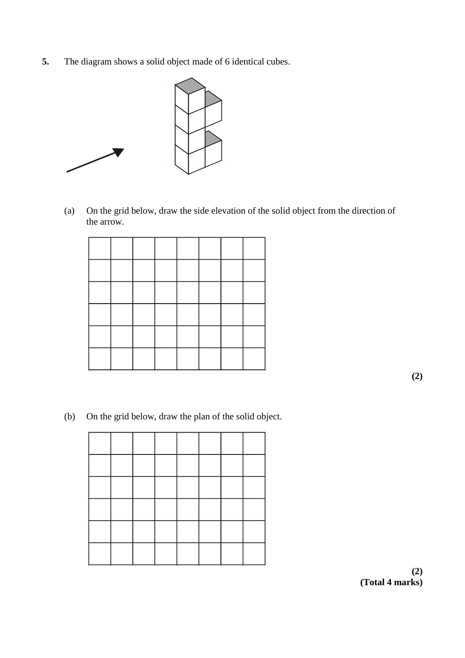**5.** The diagram shows a solid object made of 6 identical cubes.



(a) On the grid below, draw the side elevation of the solid object from the direction of the arrow.

**(2)**

(b) On the grid below, draw the plan of the solid object.

**(2) (Total 4 marks)**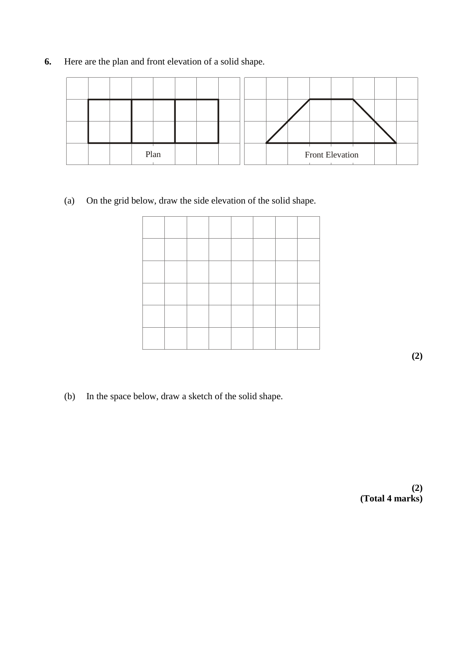- Plan | | | | | | Front Elevation
- **6.** Here are the plan and front elevation of a solid shape.

(a) On the grid below, draw the side elevation of the solid shape.

**(2)**

(b) In the space below, draw a sketch of the solid shape.

**(2) (Total 4 marks)**